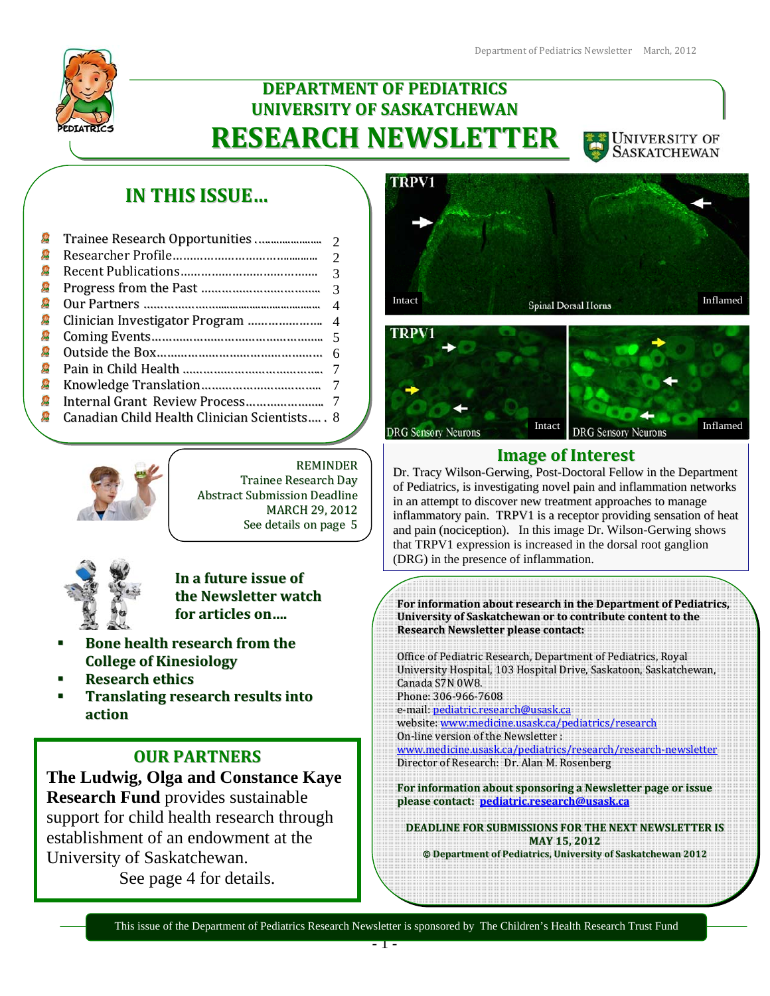

# **DEPARTMENT OF PEDIATRICS UNIVERSITY OF SASKATCHEWAN RESEARCH NEWSLETTER**



# **IN THIS ISSUE…**

|   |                                               | $\mathcal{D}$  |
|---|-----------------------------------------------|----------------|
| Я |                                               | $\mathcal{R}$  |
| Я |                                               |                |
| 寫 |                                               | $\overline{4}$ |
| Я |                                               |                |
|   |                                               |                |
|   |                                               |                |
|   |                                               |                |
| Я |                                               |                |
| Я |                                               |                |
| 寫 | Canadian Child Health Clinician Scientists, 8 |                |
|   |                                               |                |



REMINDER Trainee Research Day Abstract Submission Deadline MARCH 29, 2012 See details on page 5



**In a future issue of the Newsletter watch for articles on….**

- **Bone health research from the College of Kinesiology**
- **Research ethics**
- **Translating research results into action**

## **OUR PARTNERS**

**The Ludwig, Olga and Constance Kaye Research Fund** provides sustainable support for child health research through establishment of an endowment at the University of Saskatchewan. See page 4 for details.







## **Image of Interest**

Dr. Tracy Wilson-Gerwing, Post-Doctoral Fellow in the Department of Pediatrics, is investigating novel pain and inflammation networks in an attempt to discover new treatment approaches to manage inflammatory pain. TRPV1 is a receptor providing sensation of heat and pain (nociception). In this image Dr. Wilson-Gerwing shows that TRPV1 expression is increased in the dorsal root ganglion (DRG) in the presence of inflammation.

**For information about research in the Department of Pediatrics, University of Saskatchewan or to contribute content to the Research Newsletter please contact:**

Office of Pediatric Research, Department of Pediatrics, Royal University Hospital, 103 Hospital Drive, Saskatoon, Saskatchewan, Canada S7N 0W8. Phone: 306‐966‐7608 e‐mail: pediatric.research@usask.ca website: www.medicine.usask.ca/pediatrics/research On‐line version of the Newsletter : www.medicine.usask.ca/pediatrics/research/research‐newsletter Director of Research: Dr. Alan M. Rosenberg

**For information about sponsoring a Newsletter page or issue please contact: pediatric.research@usask.ca**

**DEADLINE FOR SUBMISSIONS FOR THE NEXT NEWSLETTER IS MAY 15, 2012**

**Department of Pediatrics, University of Saskatchewan 2012**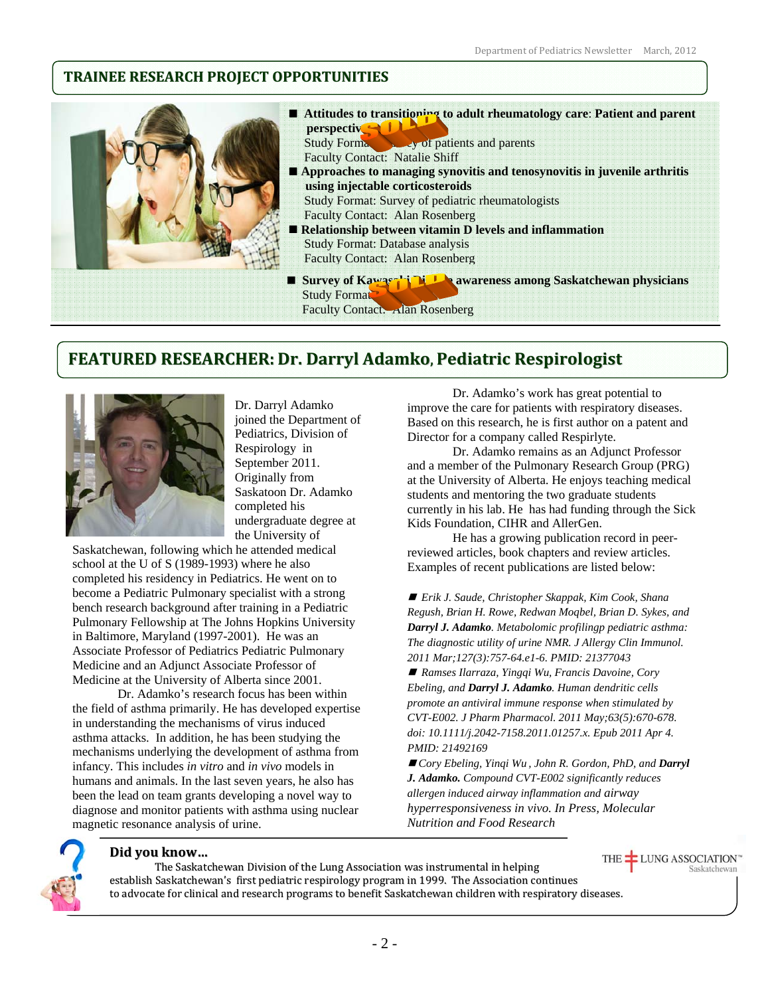## **TRAINEE RESEARCH PROJECT OPPORTUNITIES**



## **FEATURED RESEARCHER: Dr. Darryl Adamko, Pediatric Respirologist**



Dr. Darryl Adamko joined the Department of Pediatrics, Division of Respirology in September 2011. Originally from Saskatoon Dr. Adamko completed his undergraduate degree at the University of

Saskatchewan, following which he attended medical school at the U of S (1989-1993) where he also completed his residency in Pediatrics. He went on to become a Pediatric Pulmonary specialist with a strong bench research background after training in a Pediatric Pulmonary Fellowship at The Johns Hopkins University in Baltimore, Maryland (1997-2001). He was an Associate Professor of Pediatrics Pediatric Pulmonary Medicine and an Adjunct Associate Professor of Medicine at the University of Alberta since 2001.

Dr. Adamko's research focus has been within the field of asthma primarily. He has developed expertise in understanding the mechanisms of virus induced asthma attacks. In addition, he has been studying the mechanisms underlying the development of asthma from infancy. This includes *in vitro* and *in vivo* models in humans and animals. In the last seven years, he also has been the lead on team grants developing a novel way to diagnose and monitor patients with asthma using nuclear magnetic resonance analysis of urine.

Dr. Adamko's work has great potential to improve the care for patients with respiratory diseases. Based on this research, he is first author on a patent and Director for a company called Respirlyte.

Dr. Adamko remains as an Adjunct Professor and a member of the Pulmonary Research Group (PRG) at the University of Alberta. He enjoys teaching medical students and mentoring the two graduate students currently in his lab. He has had funding through the Sick Kids Foundation, CIHR and AllerGen.

He has a growing publication record in peerreviewed articles, book chapters and review articles. Examples of recent publications are listed below:

 *Erik J. Saude, Christopher Skappak, Kim Cook, Shana Regush, Brian H. Rowe, Redwan Moqbel, Brian D. Sykes, and Darryl J. Adamko. Metabolomic profilingp pediatric asthma: The diagnostic utility of urine NMR. J Allergy Clin Immunol. 2011 Mar;127(3):757-64.e1-6. PMID: 21377043* 

 *Ramses Ilarraza, Yingqi Wu, Francis Davoine, Cory Ebeling, and Darryl J. Adamko. Human dendritic cells promote an antiviral immune response when stimulated by CVT-E002. J Pharm Pharmacol. 2011 May;63(5):670-678. doi: 10.1111/j.2042-7158.2011.01257.x. Epub 2011 Apr 4. PMID: 21492169* 

■ *Cory Ebeling, Yinqi Wu, John R. Gordon, PhD, and Darryl J. Adamko. Compound CVT-E002 significantly reduces allergen induced airway inflammation and airway hyperresponsiveness in vivo. In Press, Molecular Nutrition and Food Research* 

Saskatchewan



### **Did you know…**

THE **LUNG ASSOCIATION** The Saskatchewan Division of the Lung Association was instrumental in helping establish Saskatchewan's first pediatric respirology program in 1999. The Association continues to advocate for clinical and research programs to benefit Saskatchewan children with respiratory diseases.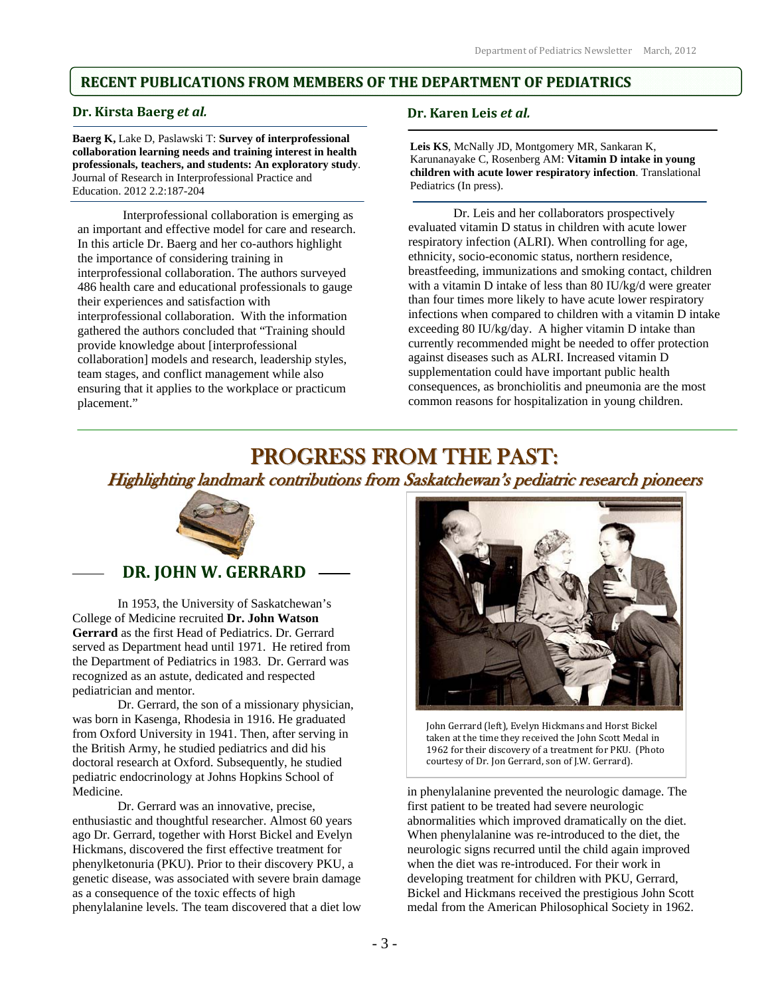## **RECENT PUBLICATIONS FROM MEMBERS OF THE DEPARTMENT OF PEDIATRICS**

### **Dr. Kirsta Baerg** *et al.*

**Baerg K,** Lake D, Paslawski T: **Survey of interprofessional collaboration learning needs and training interest in health professionals, teachers, and students: An exploratory study**. Journal of Research in Interprofessional Practice and Education. 2012 2.2:187-204

Interprofessional collaboration is emerging as an important and effective model for care and research. In this article Dr. Baerg and her co-authors highlight the importance of considering training in interprofessional collaboration. The authors surveyed 486 health care and educational professionals to gauge their experiences and satisfaction with interprofessional collaboration. With the information gathered the authors concluded that "Training should provide knowledge about [interprofessional collaboration] models and research, leadership styles, team stages, and conflict management while also ensuring that it applies to the workplace or practicum placement."

### **Dr. Karen Leis** *et al.*

**Leis KS**, McNally JD, Montgomery MR, Sankaran K, Karunanayake C, Rosenberg AM: **Vitamin D intake in young children with acute lower respiratory infection**. Translational Pediatrics (In press).

Dr. Leis and her collaborators prospectively evaluated vitamin D status in children with acute lower respiratory infection (ALRI). When controlling for age, ethnicity, socio-economic status, northern residence, breastfeeding, immunizations and smoking contact, children with a vitamin D intake of less than 80 IU/kg/d were greater than four times more likely to have acute lower respiratory infections when compared to children with a vitamin D intake exceeding 80 IU/kg/day. A higher vitamin D intake than currently recommended might be needed to offer protection against diseases such as ALRI. Increased vitamin D supplementation could have important public health consequences, as bronchiolitis and pneumonia are the most common reasons for hospitalization in young children.

## PROGRESS FROM THE PAST:

## Highlighting landmark contributions from Saskatchewan's pediatric research pioneers



 **DR. JOHN W. GERRARD**

In 1953, the University of Saskatchewan's College of Medicine recruited **Dr. John Watson Gerrard** as the first Head of Pediatrics. Dr. Gerrard served as Department head until 1971. He retired from the Department of Pediatrics in 1983. Dr. Gerrard was recognized as an astute, dedicated and respected pediatrician and mentor.

Dr. Gerrard, the son of a missionary physician, was born in Kasenga, Rhodesia in 1916. He graduated from Oxford University in 1941. Then, after serving in the British Army, he studied pediatrics and did his doctoral research at Oxford. Subsequently, he studied pediatric endocrinology at Johns Hopkins School of Medicine.

Dr. Gerrard was an innovative, precise, enthusiastic and thoughtful researcher. Almost 60 years ago Dr. Gerrard, together with Horst Bickel and Evelyn Hickmans, discovered the first effective treatment for phenylketonuria (PKU). Prior to their discovery PKU, a genetic disease, was associated with severe brain damage as a consequence of the toxic effects of high phenylalanine levels. The team discovered that a diet low



John Gerrard (left), Evelyn Hickmans and Horst Bickel taken at the time they received the John Scott Medal in 1962 for their discovery of a treatment for PKU. (Photo courtesy of Dr. Jon Gerrard, son of J.W. Gerrard).

in phenylalanine prevented the neurologic damage. The first patient to be treated had severe neurologic abnormalities which improved dramatically on the diet. When phenylalanine was re-introduced to the diet, the neurologic signs recurred until the child again improved when the diet was re-introduced. For their work in developing treatment for children with PKU, Gerrard, Bickel and Hickmans received the prestigious John Scott medal from the American Philosophical Society in 1962.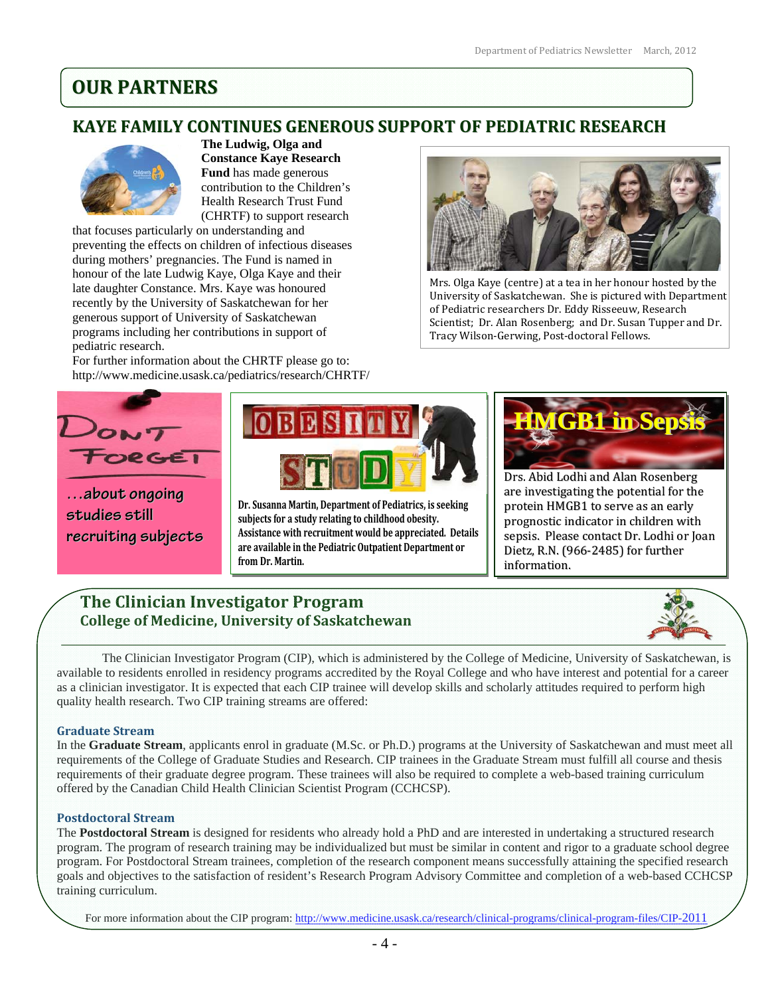# **OUR PARTNERS**

### Ĩ **KAYE FAMILY CONTINUES GENEROUS SUPPORT OF PEDIATRIC RESEARCH**



**The Ludwig, Olga and Constance Kaye Research Fund** has made generous contribution to the Children's Health Research Trust Fund (CHRTF) to support research

that focuses particularly on understanding and preventing the effects on children of infectious diseases during mothers' pregnancies. The Fund is named in honour of the late Ludwig Kaye, Olga Kaye and their late daughter Constance. Mrs. Kaye was honoured recently by the University of Saskatchewan for her generous support of University of Saskatchewan programs including her contributions in support of pediatric research.

For further information about the CHRTF please go to: http://www.medicine.usask.ca/pediatrics/research/CHRTF/



Mrs. Olga Kaye (centre) at a tea in her honour hosted by the University of Saskatchewan. She is pictured with Department of Pediatric researchers Dr. Eddy Risseeuw, Research Scientist; Dr. Alan Rosenberg; and Dr. Susan Tupper and Dr. Tracy Wilson‐Gerwing, Post‐doctoral Fellows.



**…about ongoing studies still recruiting subjects**



**Dr. Susanna Martin, Department of Pediatrics, is seeking subjects for a study relating to childhood obesity. Assistance with recruitment would be appreciated. Details are available in the Pediatric Outpatient Department or from Dr. Martin.** 



Drs. Abid Lodhi and Alan Rosenberg are investigating the potential for the protein HMGB1 to serve as an early prognostic indicator in children with sepsis. Please contact Dr. Lodhi or Joan Dietz, R.N. (966‐2485) for further information.

## **The Clinician Investigator Program College of Medicine, University of Saskatchewan**



The Clinician Investigator Program (CIP), which is administered by the College of Medicine, University of Saskatchewan, is available to residents enrolled in residency programs accredited by the Royal College and who have interest and potential for a career as a clinician investigator. It is expected that each CIP trainee will develop skills and scholarly attitudes required to perform high quality health research. Two CIP training streams are offered:

## **Graduate Stream**

In the **Graduate Stream**, applicants enrol in graduate (M.Sc. or Ph.D.) programs at the University of Saskatchewan and must meet all requirements of the College of Graduate Studies and Research. CIP trainees in the Graduate Stream must fulfill all course and thesis requirements of their graduate degree program. These trainees will also be required to complete a web-based training curriculum offered by the Canadian Child Health Clinician Scientist Program (CCHCSP).

### **Postdoctoral Stream**

The **Postdoctoral Stream** is designed for residents who already hold a PhD and are interested in undertaking a structured research program. The program of research training may be individualized but must be similar in content and rigor to a graduate school degree program. For Postdoctoral Stream trainees, completion of the research component means successfully attaining the specified research goals and objectives to the satisfaction of resident's Research Program Advisory Committee and completion of a web-based CCHCSP training curriculum.

For more information about the CIP program: http://www.medicine.usask.ca/research/clinical-programs/clinical-program-files/CIP-2011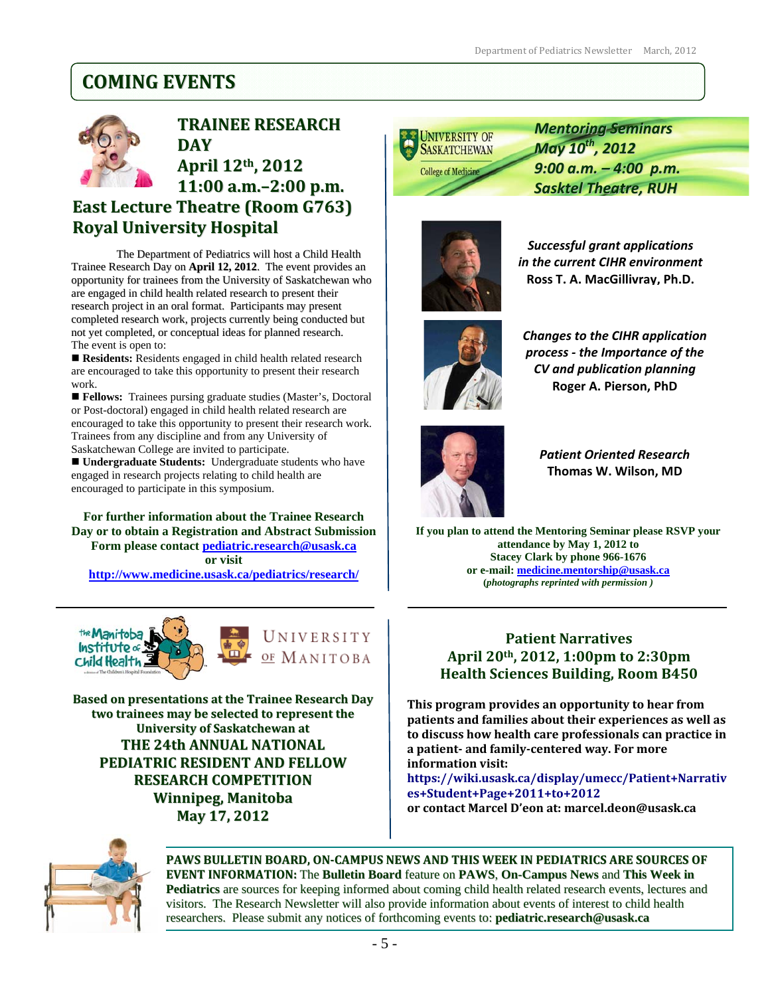## **COMING EVENTS**



**TRAINEE RESEARCH DAY**

## **April 12th, 2012 11:00 a.m.–2:00 p.m. East Lecture Theatre (Room G763) Royal University Hospital**

The Department of Pediatrics will host a Child Health Trainee Research Day on **April 12, 2012**. The event provides an opportunity for trainees from the University of Saskatchewan who are engaged in child health related research to present their research project in an oral format. Participants may present completed research work, projects currently being conducted but not yet completed, or conceptual ideas for planned research. The event is open to:

Residents: Residents engaged in child health related research are encouraged to take this opportunity to present their research work.

 **Fellows:** Trainees pursing graduate studies (Master's, Doctoral or Post-doctoral) engaged in child health related research are encouraged to take this opportunity to present their research work. Trainees from any discipline and from any University of Saskatchewan College are invited to participate.

 **Undergraduate Students:** Undergraduate students who have engaged in research projects relating to child health are encouraged to participate in this symposium.

**For further information about the Trainee Research Day or to obtain a Registration and Abstract Submission Form please contact pediatric.research@usask.ca or visit http://www.medicine.usask.ca/pediatrics/research/**





**Based on presentations at the Trainee Research Day two trainees may be selected to represent the University of Saskatchewan at THE 24th ANNUAL NATIONAL PEDIATRIC RESIDENT AND FELLOW RESEARCH COMPETITION Winnipeg, Manitoba May 17, 2012**



*Mentoring Seminars May 10th , 2012 9:00 a.m. – 4:00 p.m. Sasktel Theatre, RUH*



*Successful grant applications in the current CIHR environment* **Ross T. A. MacGillivray, Ph.D.**



*Changes to the CIHR application process ‐ the Importance of the CV and publication planning* **Roger A. Pierson, PhD**



*Patient Oriented Research* **Thomas W. Wilson, MD**

**If you plan to attend the Mentoring Seminar please RSVP your attendance by May 1, 2012 to Stacey Clark by phone 966-1676 or e-mail: medicine.mentorship@usask.ca (***photographs reprinted with permission )* 

## **Patient Narratives April 20th, 2012, 1:00pm to 2:30pm Health Sciences Building, Room B450**

**This program provides an opportunity to hear from patients and families about their experiences as well as to discuss how health care professionals can practice in a patient and familycentered way. For more information visit:** 

**https://wiki.usask.ca/display/umecc/Patient+Narrativ es+Student+Page+2011+to+2012 or contact Marcel D'eon at: marcel.deon@usask.ca**



**PAWS BULLETIN BOARD, ONCAMPUS NEWS AND THIS WEEK IN PEDIATRICS ARE SOURCES OF EVENT INFORMATION:** The **Bulletin Board** feature on **PAWS**, **On-Campus News** and **This Week in Pediatrics** are sources for keeping informed about coming child health related research events, lectures and visitors. The Research Newsletter will also provide information about events of interest to child health researchers. Please submit any notices of forthcoming events to: **pediatric.research@usask.ca**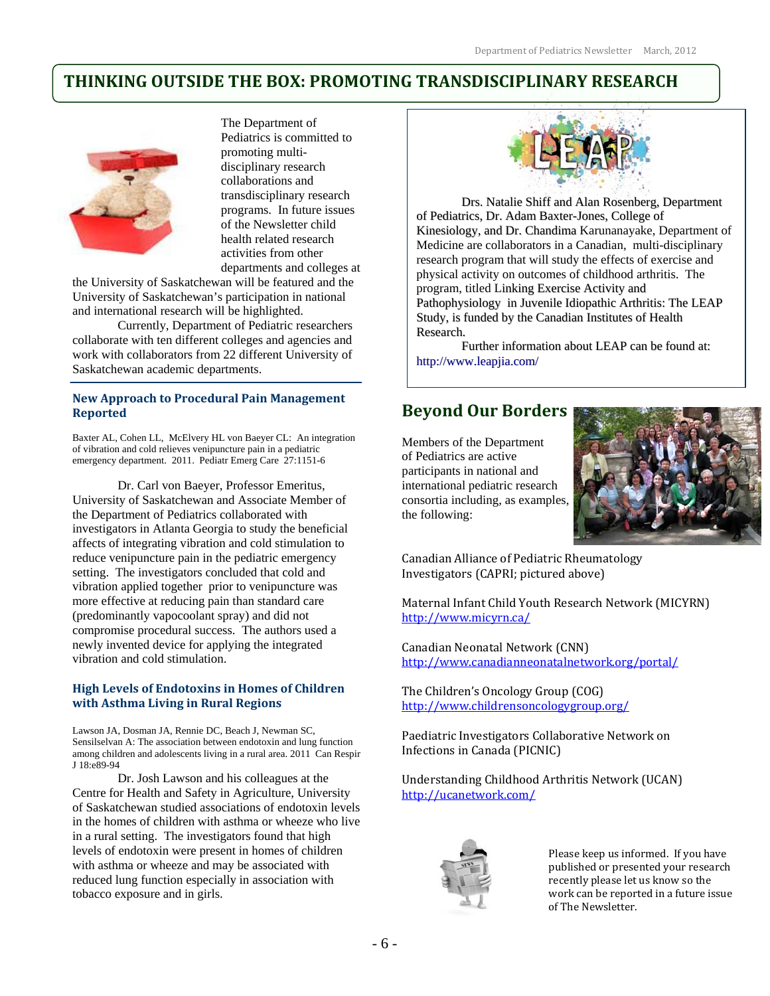## **THINKING OUTSIDE THE BOX: PROMOTING TRANSDISCIPLINARY RESEARCH**



j

The Department of Pediatrics is committed to promoting multidisciplinary research collaborations and transdisciplinary research programs. In future issues of the Newsletter child health related research activities from other departments and colleges at

the University of Saskatchewan will be featured and the University of Saskatchewan's participation in national and international research will be highlighted.

Currently, Department of Pediatric researchers collaborate with ten different colleges and agencies and work with collaborators from 22 different University of Saskatchewan academic departments.

### **New Approach to Procedural Pain Management Reported**

Baxter AL, Cohen LL, McElvery HL von Baeyer CL: An integration of vibration and cold relieves venipuncture pain in a pediatric emergency department. 2011. Pediatr Emerg Care 27:1151-6

Dr. Carl von Baeyer, Professor Emeritus, University of Saskatchewan and Associate Member of the Department of Pediatrics collaborated with investigators in Atlanta Georgia to study the beneficial affects of integrating vibration and cold stimulation to reduce venipuncture pain in the pediatric emergency setting. The investigators concluded that cold and vibration applied together prior to venipuncture was more effective at reducing pain than standard care (predominantly vapocoolant spray) and did not compromise procedural success. The authors used a newly invented device for applying the integrated vibration and cold stimulation.

### **High Levels of Endotoxins in Homes of Children with Asthma Living in Rural Regions**

Lawson JA, Dosman JA, Rennie DC, Beach J, Newman SC, Sensilselvan A: The association between endotoxin and lung function among children and adolescents living in a rural area. 2011 Can Respir J 18:e89-94

Dr. Josh Lawson and his colleagues at the Centre for Health and Safety in Agriculture, University of Saskatchewan studied associations of endotoxin levels in the homes of children with asthma or wheeze who live in a rural setting. The investigators found that high levels of endotoxin were present in homes of children with asthma or wheeze and may be associated with reduced lung function especially in association with tobacco exposure and in girls.



Drs. Natalie Shiff and Alan Rosenberg, Department of Pediatrics, Dr. Adam Baxter-Jones, College of Kinesiology, and Dr. Chandima Karunanayake, Department of Medicine are collaborators in a Canadian, multi-disciplinary research program that will study the effects of exercise and physical activity on outcomes of childhood arthritis. The program, titled Linking Exercise Activity and Pathophysiology in Juvenile Idiopathic Arthritis: The LEAP Study, is funded by the Canadian Institutes of Health Research.

Further information about LEAP can be found at: http://www.leapjia.com/

## **Beyond Our Borders**

Members of the Department of Pediatrics are active participants in national and international pediatric research consortia including, as examples, the following:



Canadian Alliance of Pediatric Rheumatology Investigators (CAPRI; pictured above)

Maternal Infant Child Youth Research Network (MICYRN) http://www.micyrn.ca/

Canadian Neonatal Network (CNN) http://www.canadianneonatalnetwork.org/portal/

The Children's Oncology Group (COG) http://www.childrensoncologygroup.org/

Paediatric Investigators Collaborative Network on Infections in Canada (PICNIC)

Understanding Childhood Arthritis Network (UCAN) http://ucanetwork.com/



Please keep us informed. If you have published or presented your research recently please let us know so the work can be reported in a future issue of The Newsletter.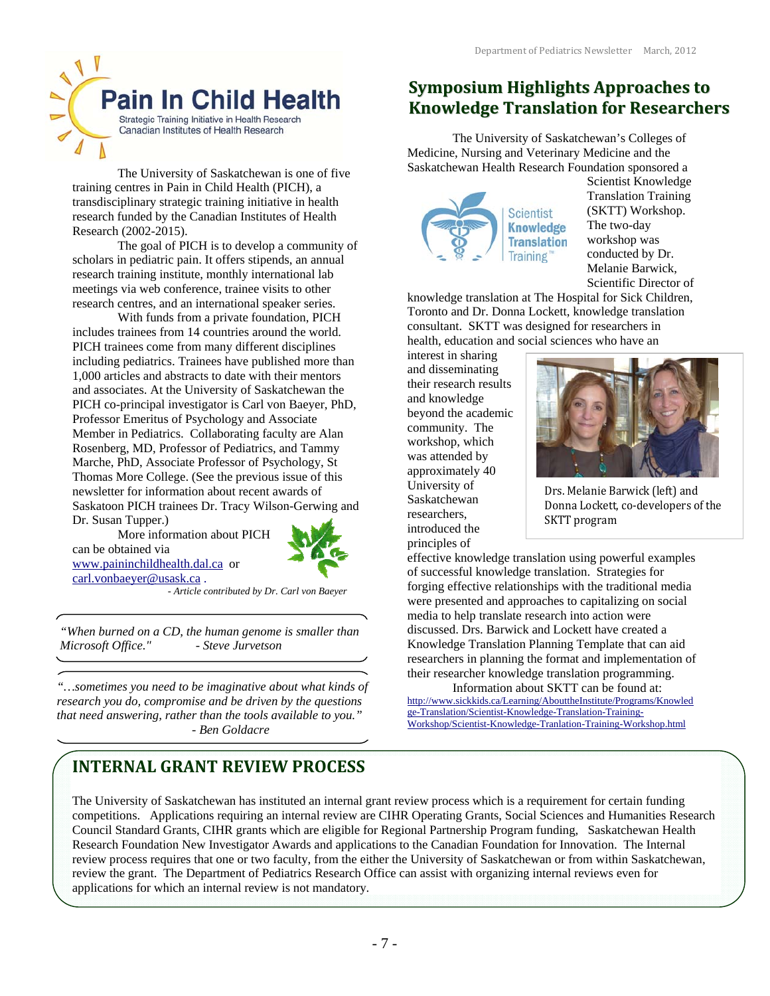The University of Saskatchewan's Colleges of

**Symposium Highlights Approaches to Knowledge Translation for Researchers**

Medicine, Nursing and Veterinary Medicine and the Saskatchewan Health Research Foundation sponsored a

> **Scientist Knowledge Translation Training**

knowledge translation at The Hospital for Sick Children, Toronto and Dr. Donna Lockett, knowledge translation consultant. SKTT was designed for researchers in health, education and social sciences who have an



The University of Saskatchewan is one of five training centres in Pain in Child Health (PICH), a transdisciplinary strategic training initiative in health research funded by the Canadian Institutes of Health Research (2002-2015).

The goal of PICH is to develop a community of scholars in pediatric pain. It offers stipends, an annual research training institute, monthly international lab meetings via web conference, trainee visits to other research centres, and an international speaker series.

With funds from a private foundation, PICH includes trainees from 14 countries around the world. PICH trainees come from many different disciplines including pediatrics. Trainees have published more than 1,000 articles and abstracts to date with their mentors and associates. At the University of Saskatchewan the PICH co-principal investigator is Carl von Baeyer, PhD, Professor Emeritus of Psychology and Associate Member in Pediatrics. Collaborating faculty are Alan Rosenberg, MD, Professor of Pediatrics, and Tammy Marche, PhD, Associate Professor of Psychology, St Thomas More College. (See the previous issue of this newsletter for information about recent awards of Saskatoon PICH trainees Dr. Tracy Wilson-Gerwing and Dr. Susan Tupper.)

More information about PICH can be obtained via www.paininchildhealth.dal.ca or carl.vonbaeyer@usask.ca .



 *- Article contributed by Dr. Carl von Baeyer* 

*"When burned on a CD, the human genome is smaller than Microsoft Office." - Steve Jurvetson* 

*"…sometimes you need to be imaginative about what kinds of research you do, compromise and be driven by the questions that need answering, rather than the tools available to you." - Ben Goldacre* 

#### and disseminating their research results and knowledge

beyond the academic community. The workshop, which was attended by approximately 40 University of Saskatchewan researchers, introduced the principles of

interest in sharing



Scientist Knowledge Translation Training (SKTT) Workshop. The two-day workshop was conducted by Dr. Melanie Barwick, Scientific Director of

Drs. Melanie Barwick (left) and Donna Lockett, co‐developers of the SKTT program

effective knowledge translation using powerful examples of successful knowledge translation. Strategies for forging effective relationships with the traditional media were presented and approaches to capitalizing on social media to help translate research into action were discussed. Drs. Barwick and Lockett have created a Knowledge Translation Planning Template that can aid researchers in planning the format and implementation of their researcher knowledge translation programming.

Information about SKTT can be found at: http://www.sickkids.ca/Learning/AbouttheInstitute/Programs/Knowled ge-Translation/Scientist-Knowledge-Translation-Training-Workshop/Scientist-Knowledge-Tranlation-Training-Workshop.html

## **INTERNAL GRANT REVIEW PROCESS**

The University of Saskatchewan has instituted an internal grant review process which is a requirement for certain funding competitions. Applications requiring an internal review are CIHR Operating Grants, Social Sciences and Humanities Research Council Standard Grants, CIHR grants which are eligible for Regional Partnership Program funding, Saskatchewan Health Research Foundation New Investigator Awards and applications to the Canadian Foundation for Innovation. The Internal review process requires that one or two faculty, from the either the University of Saskatchewan or from within Saskatchewan, review the grant. The Department of Pediatrics Research Office can assist with organizing internal reviews even for applications for which an internal review is not mandatory.